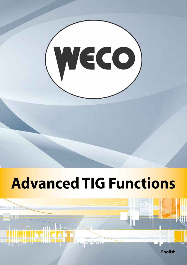

# **Advanced TIG Functions**

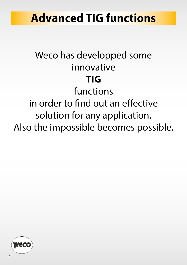### **Advanced TIG functions**

### Weco has developped some innovative **TIG** functions in order to find out an effective solution for any application. Also the impossible becomes possible.

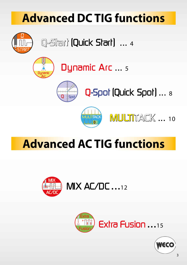## **Advanced DC TIG functions**



Q-Start (Quick Start) ... 4







MULTITACK ... 10

### **Advanced AC TIG functions**





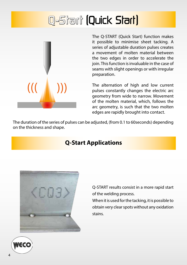### Q-Start (Quick Start)



The Q-START (Quick Start) function makes it possible to minimise sheet tacking. A series of adjustable duration pulses creates a movement of molten material between the two edges in order to accelerate the join. This function is invaluable in the case of seams with slight openings or with irregular preparation.

The alternation of high and low current pulses constantly changes the electric arc geometry from wide to narrow. Movement of the molten material, which, follows the arc geometry, is such that the two molten edges are rapidly brought into contact.

The duration of the series of pulses can be adjusted, (from 0.1 to 60seconds) depending on the thickness and shape.

#### **Q-Start Applications**



Q-START results consist in a more rapid start of the welding process.

When it is used for the tacking, it is possible to obtain very clear spots without any oxidation stains.

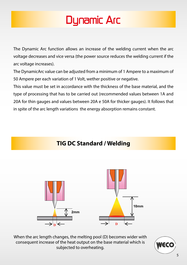### Dynamic Arc

The Dynamic Arc function allows an increase of the welding current when the arc voltage decreases and vice versa (the power source reduces the welding current if the arc voltage increases).

The DynamicArc value can be adjusted from a minimum of 1 Ampere to a maximum of 50 Ampere per each variation of 1 Volt, wether positive or negative.

This value must be set in accordance with the thickness of the base material, and the type of processing that has to be carried out (recommended values between 1A and 20A for thin gauges and values between 20A e 50A for thicker gauges). It follows that in spite of the arc length variations the energy absorption remains constant.



When the arc length changes, the melting pool (D) becomes wider with consequent increase of the heat output on the base material which is subjected to overheating.

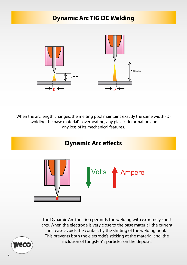#### **Dynamic Arc TIG DC Welding**



When the arc length changes, the melting pool maintains exactly the same width (D) avoiding the base material' s overheating, any plastic deformation and any loss of its mechanical features.



The Dynamic Arc function permitts the welding with extremely short arcs. When the electrode is very close to the base material, the current increase avoids the contact by the shifting of the welding pool. This prevents both the electrode's sticking at the material and the inclusion of tungsten' s particles on the deposit.

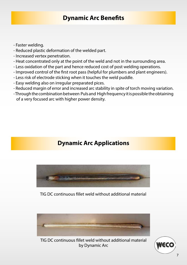#### **Dynamic Arc Benefits**

- Faster welding.
- Reduced plastic deformation of the welded part.
- Increased vertex penetration.
- Heat concentrated only at the point of the weld and not in the surrounding area.
- Less oxidation of the part and hence reduced cost of post welding operations.
- Improved control of the first root pass (helpful for plumbers and plant engineers).
- Less risk of electrode sticking when it touches the weld puddle.
- Easy welding also on irregular preparated pices.
- Reduced margin of error and increased arc stability in spite of torch moving variation.
- Through the combination between Puls and High frequency it is possible the obtaining of a very focused arc with higher power density.

#### **Dynamic Arc Applications**



TIG DC continuous fillet weld without additional material



TIG DC continuous fillet weld without additional material by Dynamic Arc

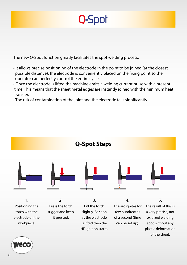

The new Q-Spot function greatly facilitates the spot welding process:

- It allows precise positioning of the electrode in the point to be joined (at the closest possible distance); the electrode is conveniently placed on the fixing point so the operator can perfectly control the entire cycle.
- Once the electrode is lifted the machine emits a welding current pulse with a present time. This means that the sheet metal edges are instantly joined with the minimum heat transfer.
- The risk of contamination of the joint and the electrode falls significantly.



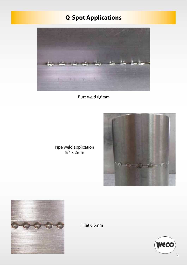### **Q-Spot Applications**



Butt-weld 0,6mm



Pipe weld application 5/4 x 2mm



Fillet 0,6mm

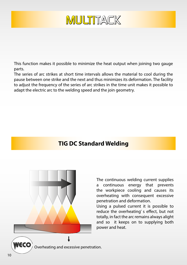

This function makes it possible to minimize the heat output when joining two gauge parts.

The series of arc strikes at short time intervals allows the material to cool during the pause between one strike and the next and thus minimizes its deformation. The facility to adjust the frequency of the series of arc strikes in the time unit makes it possible to adapt the electric arc to the welding speed and the join geometry.

#### **TIG DC Standard Welding**



The continuous welding current supplies a continuous energy that prevents the workpiece cooling and causes its overheating with consequent excessive penetration and deformation.

Using a pulsed current it is possible to reduce the overheating' s effect, but not totally, in fact the arc remains always alight and so it keeps on to supplying both power and heat.

 $\textbf{N}\textbf{\texttt{\textsf{CC}}}\textbf{\textsf{O}}$  overheating and excessive penetration.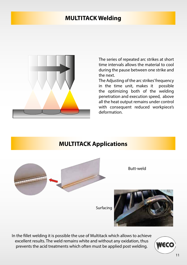#### **MULTITACK Welding**



The series of repeated arc strikes at short time intervals allows the material to cool during the pause between one strike and the next.

The Adjusting of the arc strikes' frequency in the time unit, makes it possible the optimizing both of the welding penetration and execution speed, above all the heat output remains under control with consequent reduced workpiece's deformation.

#### **MULTITACK Applications**



In the fillet welding it is possible the use of Multitack which allows to achieve excellent results. The weld remains white and without any oxidation, thus prevents the acid treatments which often must be applied post welding.

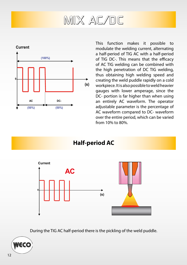### MIX AC/DC



This function makes it possible to modulate the welding current, alternating a half-period of TIG AC with a half-period of TIG DC-. This means that the efficacy of AC TIG welding can be combined with the high penetration of DC TIG welding, thus obtaining high welding speed and creating the weld puddle rapidly on a cold workpiece. It is also possible to weld heavier gauges with lower amperage, since the DC- portion is far higher than when using an entirely AC waveform. The operator adjustable parameter is the percentage of AC waveform compared to DC- waveform over the entire period, which can be varied from 10% to 80%.

**Half-period AC**



During the TIG AC half-period there is the pickling of the weld puddle.

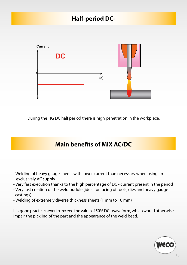#### **Half-period DC-**



During the TIG DC half period there is high penetration in the workpiece.

#### **Main benefits of MIX AC/DC**

- Welding of heavy gauge sheets with lower current than necessary when using an exclusively AC supply
- Very fast execution thanks to the high percentage of DC current present in the period
- Very fast creation of the weld puddle (ideal for facing of tools, dies and heavy gauge castings)
- Welding of extremely diverse thickness sheets (1 mm to 10 mm)

It is good practice never to exceed the value of 50% DC - waveform, which would otherwise impair the pickling of the part and the appearance of the weld bead.

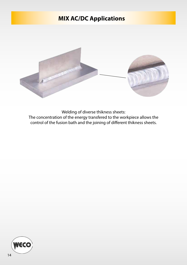### **MIX AC/DC Applications**



Welding of diverse thikness sheets: The concentration of the energy transfered to the workpiece allows the control of the fusion bath and the joining of different thikness sheets.

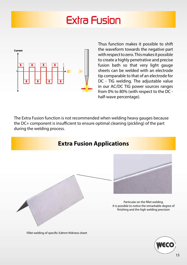### Extra Fusion



Thus function makes it possible to shift the waveform towards the negative part with respect to zero. This makes it possible to create a highly penetrative and precise fusion bath so that very light gauge sheets can be welded with an electrode tip comparable to that of an electrode for DC - TIG welding. The adjustable value in our AC/DC TIG power sources ranges from 0% to 80% (with respect to the DC half-wave percentage).

The Extra Fusion function is not recommended when welding heavy gauges because the DC+ component is insufficient to ensure optimal cleaning (pickling) of the part during the welding process.



Fillet welding of specific 0,8mm thikness sheet